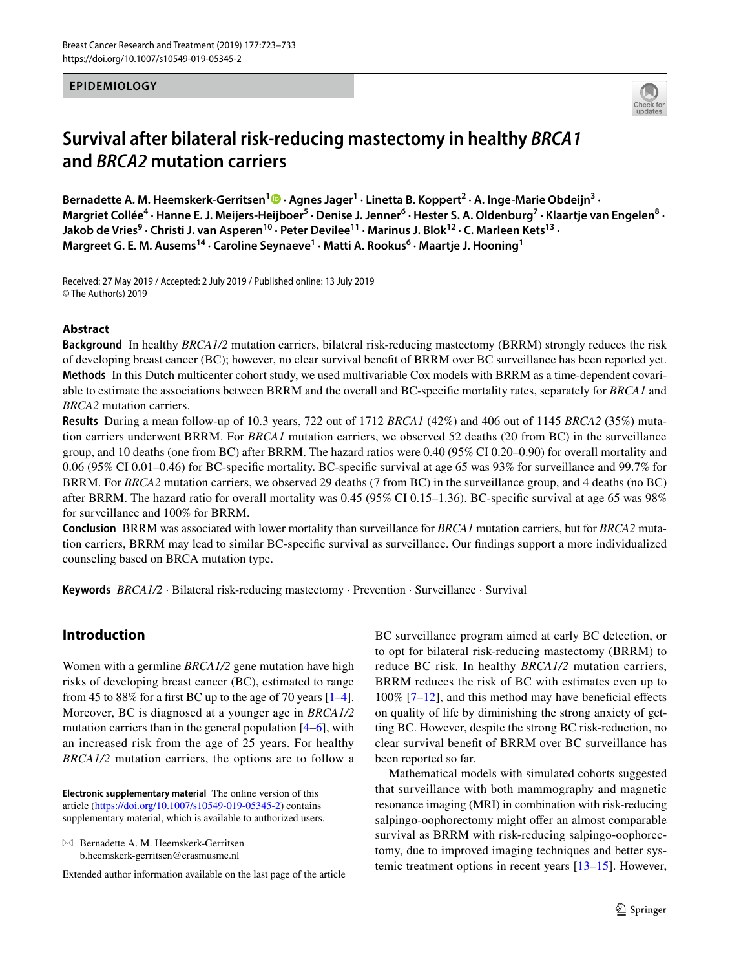### **EPIDEMIOLOGY**



# **Survival after bilateral risk‑reducing mastectomy in healthy** *BRCA1* **and** *BRCA2* **mutation carriers**

BernadetteA. M. Heemskerk-Gerritsen<sup>1</sup><sup>®</sup> · Agnes Jager<sup>1</sup> · Linetta B. Koppert<sup>2</sup> · A. Inge-Marie Obdeijn<sup>3</sup> · Margriet Collée<sup>4</sup> · Hanne E. J. Meijers-Heijboer<sup>5</sup> · Denise J. Jenner<sup>6</sup> · Hester S. A. Oldenburg<sup>7</sup> · Klaartje van Engelen<sup>8</sup> · **Jakob de Vries9 · Christi J. van Asperen10 · Peter Devilee11 · Marinus J. Blok12 · C. Marleen Kets13 ·**  Margreet G. E. M. Ausems<sup>14</sup> · Caroline Seynaeve<sup>1</sup> · Matti A. Rookus<sup>6</sup> · Maartje J. Hooning<sup>1</sup>

Received: 27 May 2019 / Accepted: 2 July 2019 / Published online: 13 July 2019 © The Author(s) 2019

## **Abstract**

**Background** In healthy *BRCA1/2* mutation carriers, bilateral risk-reducing mastectomy (BRRM) strongly reduces the risk of developing breast cancer (BC); however, no clear survival beneft of BRRM over BC surveillance has been reported yet. **Methods** In this Dutch multicenter cohort study, we used multivariable Cox models with BRRM as a time-dependent covariable to estimate the associations between BRRM and the overall and BC-specifc mortality rates, separately for *BRCA1* and *BRCA2* mutation carriers.

**Results** During a mean follow-up of 10.3 years, 722 out of 1712 *BRCA1* (42%) and 406 out of 1145 *BRCA2* (35%) mutation carriers underwent BRRM. For *BRCA1* mutation carriers, we observed 52 deaths (20 from BC) in the surveillance group, and 10 deaths (one from BC) after BRRM. The hazard ratios were 0.40 (95% CI 0.20–0.90) for overall mortality and 0.06 (95% CI 0.01–0.46) for BC-specifc mortality. BC-specifc survival at age 65 was 93% for surveillance and 99.7% for BRRM. For *BRCA2* mutation carriers, we observed 29 deaths (7 from BC) in the surveillance group, and 4 deaths (no BC) after BRRM. The hazard ratio for overall mortality was 0.45 (95% CI 0.15–1.36). BC-specifc survival at age 65 was 98% for surveillance and 100% for BRRM.

**Conclusion** BRRM was associated with lower mortality than surveillance for *BRCA1* mutation carriers, but for *BRCA2* mutation carriers, BRRM may lead to similar BC-specifc survival as surveillance. Our fndings support a more individualized counseling based on BRCA mutation type.

**Keywords** *BRCA1/2* · Bilateral risk-reducing mastectomy · Prevention · Surveillance · Survival

# **Introduction**

Women with a germline *BRCA1/2* gene mutation have high risks of developing breast cancer (BC), estimated to range from 45 to 88% for a first BC up to the age of 70 years  $[1-4]$  $[1-4]$ . Moreover, BC is diagnosed at a younger age in *BRCA1/2* mutation carriers than in the general population [[4–](#page-9-1)[6\]](#page-9-2), with an increased risk from the age of 25 years. For healthy *BRCA1/2* mutation carriers, the options are to follow a

**Electronic supplementary material** The online version of this article [\(https://doi.org/10.1007/s10549-019-05345-2\)](https://doi.org/10.1007/s10549-019-05345-2) contains supplementary material, which is available to authorized users.

 $\boxtimes$  Bernadette A. M. Heemskerk-Gerritsen b.heemskerk-gerritsen@erasmusmc.nl

Extended author information available on the last page of the article

BC surveillance program aimed at early BC detection, or to opt for bilateral risk-reducing mastectomy (BRRM) to reduce BC risk. In healthy *BRCA1/2* mutation carriers, BRRM reduces the risk of BC with estimates even up to  $100\%$  [\[7](#page-9-3)[–12\]](#page-9-4), and this method may have beneficial effects on quality of life by diminishing the strong anxiety of getting BC. However, despite the strong BC risk-reduction, no clear survival beneft of BRRM over BC surveillance has been reported so far.

Mathematical models with simulated cohorts suggested that surveillance with both mammography and magnetic resonance imaging (MRI) in combination with risk-reducing salpingo-oophorectomy might offer an almost comparable survival as BRRM with risk-reducing salpingo-oophorectomy, due to improved imaging techniques and better systemic treatment options in recent years [\[13–](#page-9-5)[15\]](#page-9-6). However,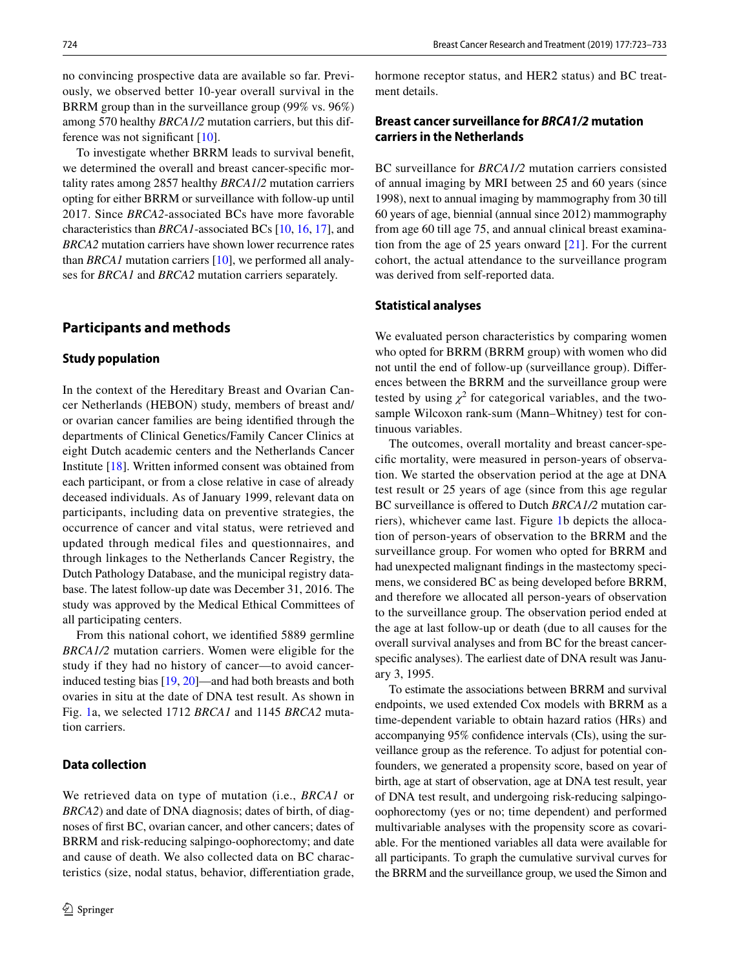no convincing prospective data are available so far. Previously, we observed better 10-year overall survival in the BRRM group than in the surveillance group (99% vs. 96%) among 570 healthy *BRCA1/2* mutation carriers, but this difference was not signifcant [[10](#page-9-7)].

To investigate whether BRRM leads to survival beneft, we determined the overall and breast cancer-specifc mortality rates among 2857 healthy *BRCA1*/*2* mutation carriers opting for either BRRM or surveillance with follow-up until 2017. Since *BRCA2*-associated BCs have more favorable characteristics than *BRCA1*-associated BCs [[10,](#page-9-7) [16](#page-9-8), [17\]](#page-9-9), and *BRCA2* mutation carriers have shown lower recurrence rates than *BRCA1* mutation carriers [\[10](#page-9-7)], we performed all analyses for *BRCA1* and *BRCA2* mutation carriers separately.

# **Participants and methods**

## **Study population**

In the context of the Hereditary Breast and Ovarian Cancer Netherlands (HEBON) study, members of breast and/ or ovarian cancer families are being identifed through the departments of Clinical Genetics/Family Cancer Clinics at eight Dutch academic centers and the Netherlands Cancer Institute [[18](#page-9-10)]. Written informed consent was obtained from each participant, or from a close relative in case of already deceased individuals. As of January 1999, relevant data on participants, including data on preventive strategies, the occurrence of cancer and vital status, were retrieved and updated through medical files and questionnaires, and through linkages to the Netherlands Cancer Registry, the Dutch Pathology Database, and the municipal registry database. The latest follow-up date was December 31, 2016. The study was approved by the Medical Ethical Committees of all participating centers.

From this national cohort, we identifed 5889 germline *BRCA1/2* mutation carriers. Women were eligible for the study if they had no history of cancer—to avoid cancerinduced testing bias [[19,](#page-9-11) [20](#page-9-12)]—and had both breasts and both ovaries in situ at the date of DNA test result. As shown in Fig. [1](#page-2-0)a, we selected 1712 *BRCA1* and 1145 *BRCA2* mutation carriers.

## **Data collection**

We retrieved data on type of mutation (i.e., *BRCA1* or *BRCA2*) and date of DNA diagnosis; dates of birth, of diagnoses of frst BC, ovarian cancer, and other cancers; dates of BRRM and risk-reducing salpingo-oophorectomy; and date and cause of death. We also collected data on BC characteristics (size, nodal status, behavior, diferentiation grade, hormone receptor status, and HER2 status) and BC treatment details.

# **Breast cancer surveillance for** *BRCA1/2* **mutation carriers in the Netherlands**

BC surveillance for *BRCA1/2* mutation carriers consisted of annual imaging by MRI between 25 and 60 years (since 1998), next to annual imaging by mammography from 30 till 60 years of age, biennial (annual since 2012) mammography from age 60 till age 75, and annual clinical breast examination from the age of 25 years onward [[21](#page-10-0)]. For the current cohort, the actual attendance to the surveillance program was derived from self-reported data.

#### **Statistical analyses**

We evaluated person characteristics by comparing women who opted for BRRM (BRRM group) with women who did not until the end of follow-up (surveillance group). Diferences between the BRRM and the surveillance group were tested by using  $\chi^2$  for categorical variables, and the twosample Wilcoxon rank-sum (Mann–Whitney) test for continuous variables.

The outcomes, overall mortality and breast cancer-specifc mortality, were measured in person-years of observation. We started the observation period at the age at DNA test result or 25 years of age (since from this age regular BC surveillance is offered to Dutch *BRCA1/2* mutation carriers), whichever came last. Figure [1b](#page-2-0) depicts the allocation of person-years of observation to the BRRM and the surveillance group. For women who opted for BRRM and had unexpected malignant fndings in the mastectomy specimens, we considered BC as being developed before BRRM, and therefore we allocated all person-years of observation to the surveillance group. The observation period ended at the age at last follow-up or death (due to all causes for the overall survival analyses and from BC for the breast cancerspecifc analyses). The earliest date of DNA result was January 3, 1995.

To estimate the associations between BRRM and survival endpoints, we used extended Cox models with BRRM as a time-dependent variable to obtain hazard ratios (HRs) and accompanying 95% confdence intervals (CIs), using the surveillance group as the reference. To adjust for potential confounders, we generated a propensity score, based on year of birth, age at start of observation, age at DNA test result, year of DNA test result, and undergoing risk-reducing salpingooophorectomy (yes or no; time dependent) and performed multivariable analyses with the propensity score as covariable. For the mentioned variables all data were available for all participants. To graph the cumulative survival curves for the BRRM and the surveillance group, we used the Simon and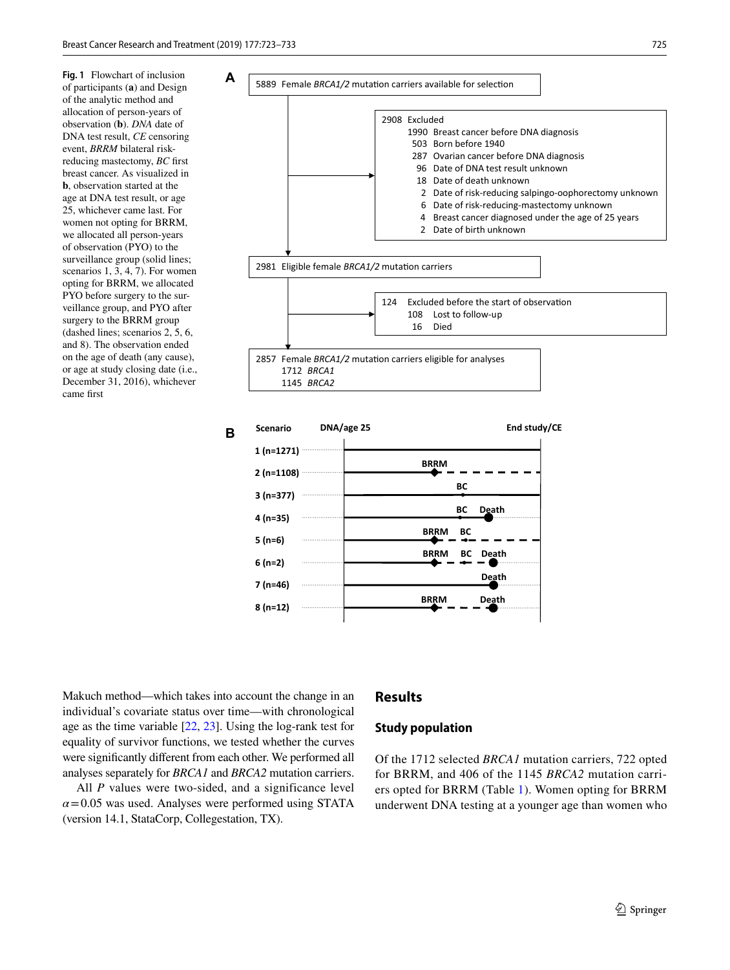<span id="page-2-0"></span>**Fig. 1** Flowchart of inclusion of participants (**a**) and Design of the analytic method and allocation of person-years of observation (**b**). *DNA* date of DNA test result, *CE* censoring event, *BRRM* bilateral riskreducing mastectomy, *BC* frst breast cancer. As visualized in **b**, observation started at the age at DNA test result, or age 25, whichever came last. For women not opting for BRRM, we allocated all person-years of observation (PYO) to the surveillance group (solid lines; scenarios 1, 3, 4, 7). For women opting for BRRM, we allocated PYO before surgery to the surveillance group, and PYO after surgery to the BRRM group (dashed lines; scenarios 2, 5, 6, and 8). The observation ended on the age of death (any cause), or age at study closing date (i.e., December 31, 2016), whichever came frst





Makuch method—which takes into account the change in an individual's covariate status over time—with chronological age as the time variable [\[22,](#page-10-1) [23\]](#page-10-2). Using the log-rank test for equality of survivor functions, we tested whether the curves were signifcantly diferent from each other. We performed all analyses separately for *BRCA1* and *BRCA2* mutation carriers.

All *P* values were two-sided, and a significance level  $\alpha$ =0.05 was used. Analyses were performed using STATA (version 14.1, StataCorp, Collegestation, TX).

# **Results**

## **Study population**

Of the 1712 selected *BRCA1* mutation carriers, 722 opted for BRRM, and 406 of the 1145 *BRCA2* mutation carriers opted for BRRM (Table [1\)](#page-3-0). Women opting for BRRM underwent DNA testing at a younger age than women who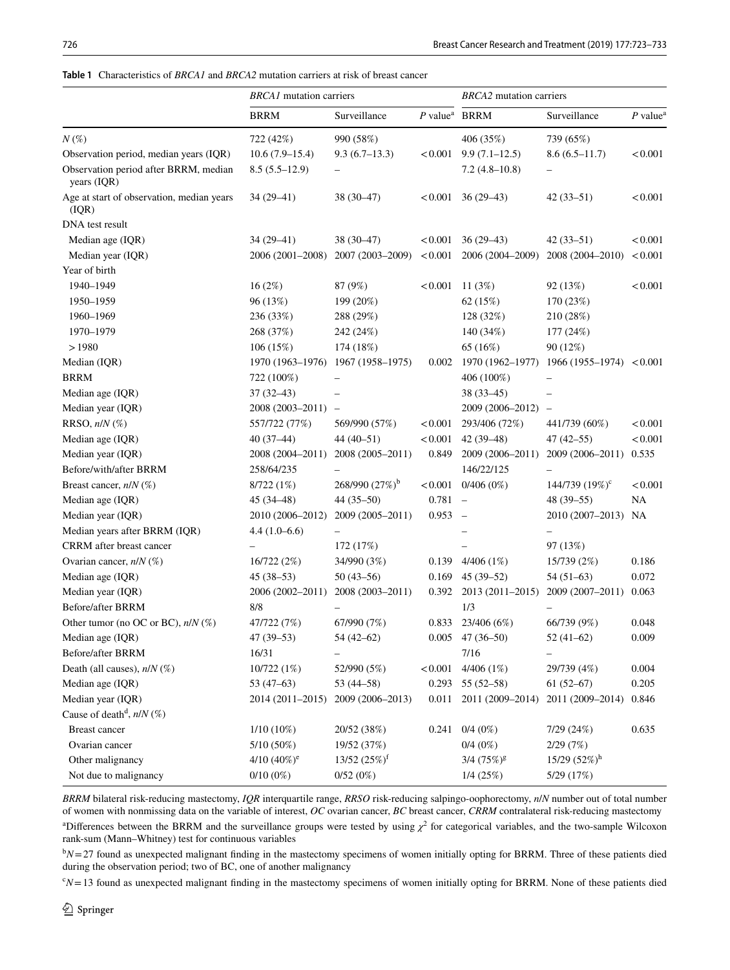<span id="page-3-0"></span>

| <b>Table 1</b> Characteristics of <i>BRCA1</i> and <i>BRCA2</i> mutation carriers at risk of breast cancer |  |
|------------------------------------------------------------------------------------------------------------|--|
|------------------------------------------------------------------------------------------------------------|--|

|                                                        | <b>BRCA1</b> mutation carriers |                                   | <b>BRCA2</b> mutation carriers |                                 |                           |                        |
|--------------------------------------------------------|--------------------------------|-----------------------------------|--------------------------------|---------------------------------|---------------------------|------------------------|
|                                                        | <b>BRRM</b>                    | Surveillance                      | $P$ value <sup>a</sup> BRRM    |                                 | Surveillance              | $P$ value <sup>a</sup> |
| $N(\%)$                                                | 722 (42%)                      | 990 (58%)                         |                                | 406 (35%)                       | 739 (65%)                 |                        |
| Observation period, median years (IQR)                 | $10.6(7.9-15.4)$               | $9.3(6.7-13.3)$                   |                                | $< 0.001$ 9.9 (7.1–12.5)        | $8.6(6.5-11.7)$           | < 0.001                |
| Observation period after BRRM, median<br>years $(IQR)$ | $8.5(5.5-12.9)$                |                                   |                                | $7.2(4.8-10.8)$                 |                           |                        |
| Age at start of observation, median years<br>( IQR)    | $34(29-41)$                    | 38 (30–47)                        | ${<}0.001$                     | $36(29-43)$                     | 42 (33–51)                | < 0.001                |
| DNA test result                                        |                                |                                   |                                |                                 |                           |                        |
| Median age (IQR)                                       | $34(29-41)$                    | $38(30-47)$                       | < 0.001                        | $36(29-43)$                     | $42(33-51)$               | < 0.001                |
| Median year (IQR)                                      |                                | 2006 (2001-2008) 2007 (2003-2009) | < 0.001                        | 2006 (2004-2009)                | 2008 (2004-2010)          | < 0.001                |
| Year of birth                                          |                                |                                   |                                |                                 |                           |                        |
| 1940-1949                                              | 16(2%)                         | 87 (9%)                           | < 0.001                        | 11 $(3%)$                       | 92 (13%)                  | < 0.001                |
| 1950-1959                                              | 96 (13%)                       | 199 (20%)                         |                                | 62(15%)                         | 170 (23%)                 |                        |
| 1960-1969                                              | 236 (33%)                      | 288 (29%)                         |                                | 128(32%)                        | 210 (28%)                 |                        |
| 1970-1979                                              | 268 (37%)                      | 242 (24%)                         |                                | 140 (34%)                       | 177 (24%)                 |                        |
| >1980                                                  | 106 (15%)                      | 174 (18%)                         |                                | 65 (16%)                        | 90 (12%)                  |                        |
| Median (IQR)                                           | 1970 (1963-1976)               | 1967 (1958–1975)                  | 0.002                          | 1970 (1962–1977)                | $1966(1955-1974) < 0.001$ |                        |
| <b>BRRM</b>                                            | 722 (100%)                     |                                   |                                | 406 (100%)                      |                           |                        |
| Median age (IQR)                                       | $37(32-43)$                    |                                   |                                | 38 (33-45)                      |                           |                        |
| Median year (IQR)                                      | 2008 (2003-2011)               | $\qquad \qquad -$                 |                                | 2009 (2006-2012)                |                           |                        |
| RRSO, $n/N$ (%)                                        | 557/722 (77%)                  | 569/990 (57%)                     | < 0.001                        | 293/406 (72%)                   | 441/739 (60%)             | < 0.001                |
| Median age (IQR)                                       | $40(37-44)$                    | $44(40-51)$                       | < 0.001                        | $42(39-48)$                     | $47(42 - 55)$             | < 0.001                |
| Median year (IQR)                                      | 2008 (2004–2011)               | 2008 (2005-2011)                  | 0.849                          | 2009 (2006-2011)                | 2009 (2006-2011)          | 0.535                  |
| Before/with/after BRRM                                 | 258/64/235                     |                                   |                                | 146/22/125                      |                           |                        |
| Breast cancer, $n/N$ (%)                               | 8/722(1%)                      | $268/990(27%)^b$                  | < 0.001                        | $0/406(0\%)$                    | $144/739$ $(19\%)^c$      | < 0.001                |
| Median age (IQR)                                       | $45(34 - 48)$                  | $44(35-50)$                       | 0.781                          | $\overline{\phantom{a}}$        | 48 (39-55)                | NA                     |
| Median year (IQR)                                      | 2010 (2006–2012)               | 2009 (2005-2011)                  | 0.953                          | $\hspace{0.1mm}-\hspace{0.1mm}$ | 2010 (2007-2013) NA       |                        |
| Median years after BRRM (IQR)                          | $4.4(1.0-6.6)$                 |                                   |                                |                                 |                           |                        |
| CRRM after breast cancer                               |                                | 172 (17%)                         |                                |                                 | 97 (13%)                  |                        |
| Ovarian cancer, $n/N$ (%)                              | 16/722(2%)                     | 34/990 (3%)                       | 0.139                          | 4/406(1%)                       | 15/739 (2%)               | 0.186                  |
| Median age (IQR)                                       | $45(38-53)$                    | $50(43-56)$                       | 0.169                          | $45(39-52)$                     | $54(51-63)$               | 0.072                  |
| Median year (IQR)                                      | 2006 (2002-2011)               | 2008 (2003-2011)                  | 0.392                          | 2013 (2011–2015)                | 2009 (2007–2011)          | 0.063                  |
| Before/after BRRM                                      | 8/8                            |                                   |                                | 1/3                             |                           |                        |
| Other tumor (no OC or BC), $n/N$ (%)                   | 47/722 (7%)                    | 67/990 (7%)                       |                                | $0.833$ 23/406 (6%)             | 66/739 (9%)               | 0.048                  |
| Median age (IQR)                                       | 47 (39-53)                     | $54(42 - 62)$                     |                                | $0.005$ 47 (36-50)              | $52(41-62)$               | 0.009                  |
| <b>Before/after BRRM</b>                               | 16/31                          |                                   |                                | 7/16                            |                           |                        |
| Death (all causes), $n/N$ (%)                          | 10/722 (1%)                    | 52/990 (5%)                       | < 0.001                        | 4/406 (1%)                      | 29/739 (4%)               | 0.004                  |
| Median age (IQR)                                       | $53(47-63)$                    | $53(44-58)$                       | 0.293                          | $55(52-58)$                     | $61(52-67)$               | 0.205                  |
| Median year (IQR)                                      | 2014 (2011-2015)               | 2009 (2006-2013)                  | 0.011                          | 2011 (2009-2014)                | 2011 (2009-2014)          | 0.846                  |
| Cause of death <sup>d</sup> , $n/N$ (%)                |                                |                                   |                                |                                 |                           |                        |
| Breast cancer                                          | $1/10(10\%)$                   | 20/52 (38%)                       | 0.241                          | 0/4(0%)                         | 7/29 (24%)                | 0.635                  |
| Ovarian cancer                                         | $5/10(50\%)$                   | 19/52 (37%)                       |                                | 0/4(0%)                         | 2/29(7%)                  |                        |
| Other malignancy                                       | $4/10$ $(40\%)^e$              | 13/52 $(25%)^f$                   |                                | $3/4$ $(75\%)^g$                | $15/29$ $(52\%)^h$        |                        |
| Not due to malignancy                                  | $0/10(0\%)$                    | 0/52(0%)                          |                                | $1/4$ (25%)                     | 5/29 (17%)                |                        |

*BRRM* bilateral risk-reducing mastectomy, *IQR* interquartile range, *RRSO* risk-reducing salpingo-oophorectomy, *n*/*N* number out of total number of women with nonmissing data on the variable of interest, *OC* ovarian cancer, *BC* breast cancer, *CRRM* contralateral risk-reducing mastectomy

<sup>a</sup>Differences between the BRRM and the surveillance groups were tested by using  $\chi^2$  for categorical variables, and the two-sample Wilcoxon rank-sum (Mann–Whitney) test for continuous variables

<sup>b</sup>N=27 found as unexpected malignant finding in the mastectomy specimens of women initially opting for BRRM. Three of these patients died during the observation period; two of BC, one of another malignancy

 $c<sub>N</sub>=13$  found as unexpected malignant finding in the mastectomy specimens of women initially opting for BRRM. None of these patients died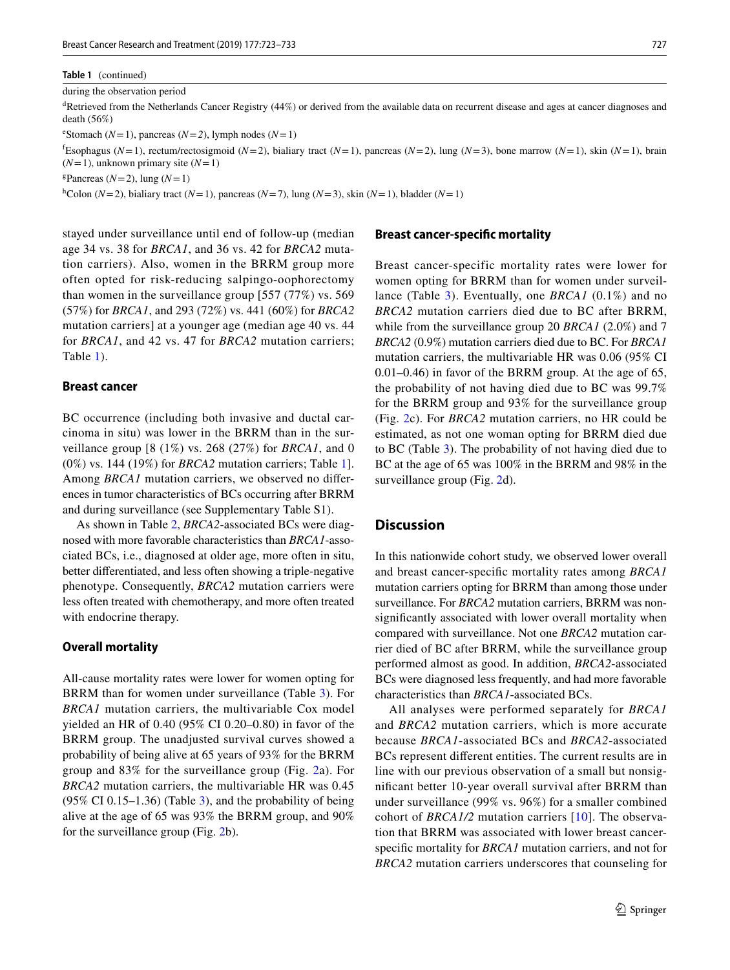#### **Table 1** (continued)

#### during the observation period

<sup>d</sup>Retrieved from the Netherlands Cancer Registry (44%) or derived from the available data on recurrent disease and ages at cancer diagnoses and death (56%)

 $e^{\epsilon}$ Stomach (*N*=1), pancreas (*N*=2), lymph nodes (*N*=1)

 $f_{\text{Esophagus}}(N=1)$ , rectum/rectosigmoid (*N*=2), bialiary tract (*N*=1), pancreas (*N*=2), lung (*N*=3), bone marrow (*N*=1), skin (*N*=1), brain  $(N=1)$ , unknown primary site  $(N=1)$ 

<sup>g</sup>Pancreas ( $N=2$ ), lung ( $N=1$ )

h Colon (*N*=2), bialiary tract (*N*=1), pancreas (*N*=7), lung (*N*=3), skin (*N*=1), bladder (*N*=1)

stayed under surveillance until end of follow-up (median age 34 vs. 38 for *BRCA1*, and 36 vs. 42 for *BRCA2* mutation carriers). Also, women in the BRRM group more often opted for risk-reducing salpingo-oophorectomy than women in the surveillance group [557 (77%) vs. 569 (57%) for *BRCA1*, and 293 (72%) vs. 441 (60%) for *BRCA2* mutation carriers] at a younger age (median age 40 vs. 44 for *BRCA1*, and 42 vs. 47 for *BRCA2* mutation carriers; Table [1](#page-3-0)).

#### **Breast cancer**

BC occurrence (including both invasive and ductal carcinoma in situ) was lower in the BRRM than in the surveillance group [8 (1%) vs. 268 (27%) for *BRCA1*, and 0 (0%) vs. 144 (19%) for *BRCA2* mutation carriers; Table [1](#page-3-0)]. Among *BRCA1* mutation carriers, we observed no diferences in tumor characteristics of BCs occurring after BRRM and during surveillance (see Supplementary Table S1).

As shown in Table [2,](#page-5-0) *BRCA2*-associated BCs were diagnosed with more favorable characteristics than *BRCA1*-associated BCs, i.e., diagnosed at older age, more often in situ, better diferentiated, and less often showing a triple-negative phenotype. Consequently, *BRCA2* mutation carriers were less often treated with chemotherapy, and more often treated with endocrine therapy.

#### **Overall mortality**

All-cause mortality rates were lower for women opting for BRRM than for women under surveillance (Table [3\)](#page-6-0). For *BRCA1* mutation carriers, the multivariable Cox model yielded an HR of 0.40 (95% CI 0.20–0.80) in favor of the BRRM group. The unadjusted survival curves showed a probability of being alive at 65 years of 93% for the BRRM group and 83% for the surveillance group (Fig. [2a](#page-7-0)). For *BRCA2* mutation carriers, the multivariable HR was 0.45  $(95\% \text{ CI } 0.15-1.36)$  (Table [3\)](#page-6-0), and the probability of being alive at the age of 65 was 93% the BRRM group, and 90% for the surveillance group (Fig. [2](#page-7-0)b).

#### **Breast cancer‑specifc mortality**

Breast cancer-specific mortality rates were lower for women opting for BRRM than for women under surveillance (Table [3](#page-6-0)). Eventually, one *BRCA1* (0.1%) and no *BRCA2* mutation carriers died due to BC after BRRM, while from the surveillance group 20 *BRCA1* (2.0%) and 7 *BRCA2* (0.9%) mutation carriers died due to BC. For *BRCA1* mutation carriers, the multivariable HR was 0.06 (95% CI 0.01–0.46) in favor of the BRRM group. At the age of 65, the probability of not having died due to BC was 99.7% for the BRRM group and 93% for the surveillance group (Fig. [2](#page-7-0)c). For *BRCA2* mutation carriers, no HR could be estimated, as not one woman opting for BRRM died due to BC (Table [3](#page-6-0)). The probability of not having died due to BC at the age of 65 was 100% in the BRRM and 98% in the surveillance group (Fig. [2](#page-7-0)d).

# **Discussion**

In this nationwide cohort study, we observed lower overall and breast cancer-specifc mortality rates among *BRCA1* mutation carriers opting for BRRM than among those under surveillance. For *BRCA2* mutation carriers, BRRM was nonsignifcantly associated with lower overall mortality when compared with surveillance. Not one *BRCA2* mutation carrier died of BC after BRRM, while the surveillance group performed almost as good. In addition, *BRCA2*-associated BCs were diagnosed less frequently, and had more favorable characteristics than *BRCA1*-associated BCs.

All analyses were performed separately for *BRCA1* and *BRCA2* mutation carriers, which is more accurate because *BRCA1*-associated BCs and *BRCA2*-associated BCs represent diferent entities. The current results are in line with our previous observation of a small but nonsignifcant better 10-year overall survival after BRRM than under surveillance (99% vs. 96%) for a smaller combined cohort of *BRCA1/2* mutation carriers [\[10\]](#page-9-7). The observation that BRRM was associated with lower breast cancerspecifc mortality for *BRCA1* mutation carriers, and not for *BRCA2* mutation carriers underscores that counseling for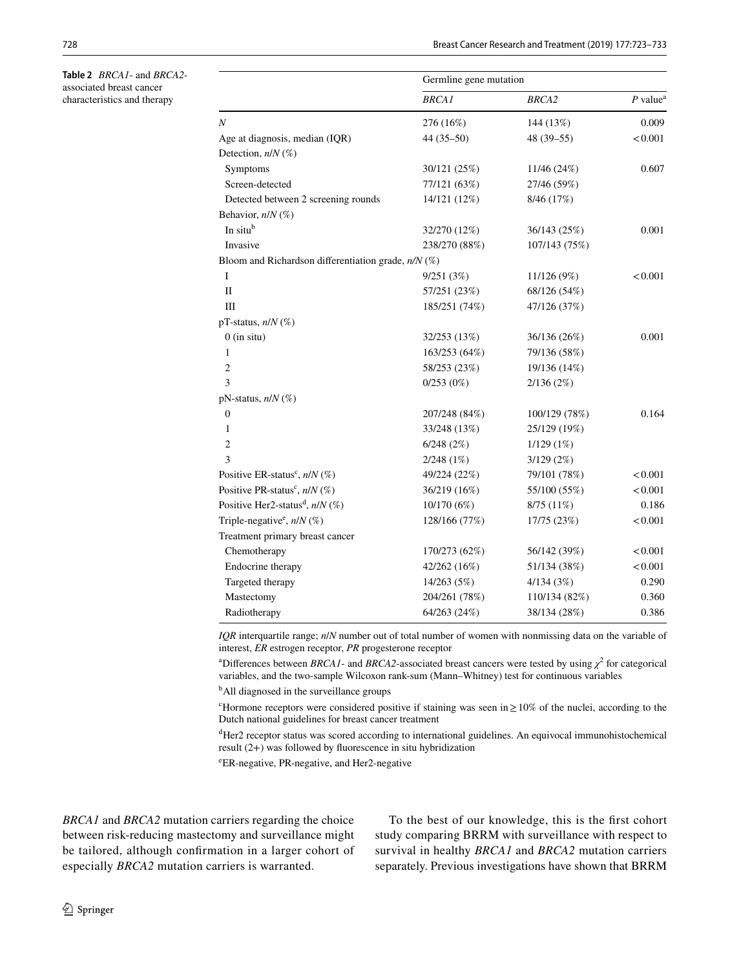<span id="page-5-0"></span>

|                                                       |               | Germline gene mutation |                        |  |
|-------------------------------------------------------|---------------|------------------------|------------------------|--|
|                                                       | <b>BRCA1</b>  | <b>BRCA2</b>           | $P$ value <sup>a</sup> |  |
| Ν                                                     | 276 (16%)     | 144 (13%)              | 0.009                  |  |
| Age at diagnosis, median (IQR)                        | $44(35-50)$   | 48 (39-55)             | < 0.001                |  |
| Detection, $n/N$ (%)                                  |               |                        |                        |  |
| Symptoms                                              | 30/121 (25%)  | 11/46 (24%)            | 0.607                  |  |
| Screen-detected                                       | 77/121 (63%)  | 27/46 (59%)            |                        |  |
| Detected between 2 screening rounds                   | 14/121 (12%)  | 8/46 (17%)             |                        |  |
| Behavior, n/N (%)                                     |               |                        |                        |  |
| In situb                                              | 32/270 (12%)  | 36/143 (25%)           | 0.001                  |  |
| Invasive                                              | 238/270 (88%) | 107/143 (75%)          |                        |  |
| Bloom and Richardson differentiation grade, $n/N$ (%) |               |                        |                        |  |
| I                                                     | 9/251 (3%)    | 11/126(9%)             | < 0.001                |  |
| $\mathbf{I}$                                          | 57/251 (23%)  | 68/126 (54%)           |                        |  |
| Ш                                                     | 185/251 (74%) | 47/126 (37%)           |                        |  |
| pT-status, $n/N$ (%)                                  |               |                        |                        |  |
| $0$ (in situ)                                         | 32/253 (13%)  | 36/136 (26%)           | 0.001                  |  |
| 1                                                     | 163/253 (64%) | 79/136 (58%)           |                        |  |
| $\overline{c}$                                        | 58/253 (23%)  | 19/136 (14%)           |                        |  |
| 3                                                     | 0/253(0%)     | 2/136(2%)              |                        |  |
| $pN$ -status, $n/N$ (%)                               |               |                        |                        |  |
| $\overline{0}$                                        | 207/248 (84%) | 100/129 (78%)          | 0.164                  |  |
| 1                                                     | 33/248 (13%)  | 25/129 (19%)           |                        |  |
| $\overline{c}$                                        | 6/248(2%)     | 1/129(1%)              |                        |  |
| 3                                                     | 2/248(1%)     | 3/129(2%)              |                        |  |
| Positive ER-status <sup>c</sup> , $n/N$ (%)           | 49/224 (22%)  | 79/101 (78%)           | < 0.001                |  |
| Positive PR-status <sup>c</sup> , n/N (%)             | 36/219 (16%)  | 55/100 (55%)           | < 0.001                |  |
| Positive Her2-status <sup>d</sup> , $n/N$ (%)         | 10/170 (6%)   | 8/75 (11%)             | 0.186                  |  |
| Triple-negative <sup>e</sup> , $n/N$ (%)              | 128/166 (77%) | 17/75 (23%)            | < 0.001                |  |
| Treatment primary breast cancer                       |               |                        |                        |  |
| Chemotherapy                                          | 170/273 (62%) | 56/142 (39%)           | < 0.001                |  |
| Endocrine therapy                                     | 42/262(16%)   | 51/134 (38%)           | < 0.001                |  |
| Targeted therapy                                      | 14/263 (5%)   | 4/134(3%)              | 0.290                  |  |
| Mastectomy                                            | 204/261 (78%) | 110/134 (82%)          | 0.360                  |  |
| Radiotherapy                                          | 64/263 (24%)  | 38/134 (28%)           | 0.386                  |  |

*IQR* interquartile range; *n*/*N* number out of total number of women with nonmissing data on the variable of interest, *ER* estrogen receptor, *PR* progesterone receptor

<sup>a</sup>Differences between *BRCA1*- and *BRCA2*-associated breast cancers were tested by using  $\chi^2$  for categorical variables, and the two-sample Wilcoxon rank-sum (Mann–Whitney) test for continuous variables

<sup>b</sup>All diagnosed in the surveillance groups

c Hormone receptors were considered positive if staining was seen in≥10% of the nuclei, according to the Dutch national guidelines for breast cancer treatment

d Her2 receptor status was scored according to international guidelines. An equivocal immunohistochemical result (2+) was followed by fuorescence in situ hybridization

e ER-negative, PR-negative, and Her2-negative

*BRCA1* and *BRCA2* mutation carriers regarding the choice between risk-reducing mastectomy and surveillance might be tailored, although confrmation in a larger cohort of especially *BRCA2* mutation carriers is warranted.

To the best of our knowledge, this is the frst cohort study comparing BRRM with surveillance with respect to survival in healthy *BRCA1* and *BRCA2* mutation carriers separately. Previous investigations have shown that BRRM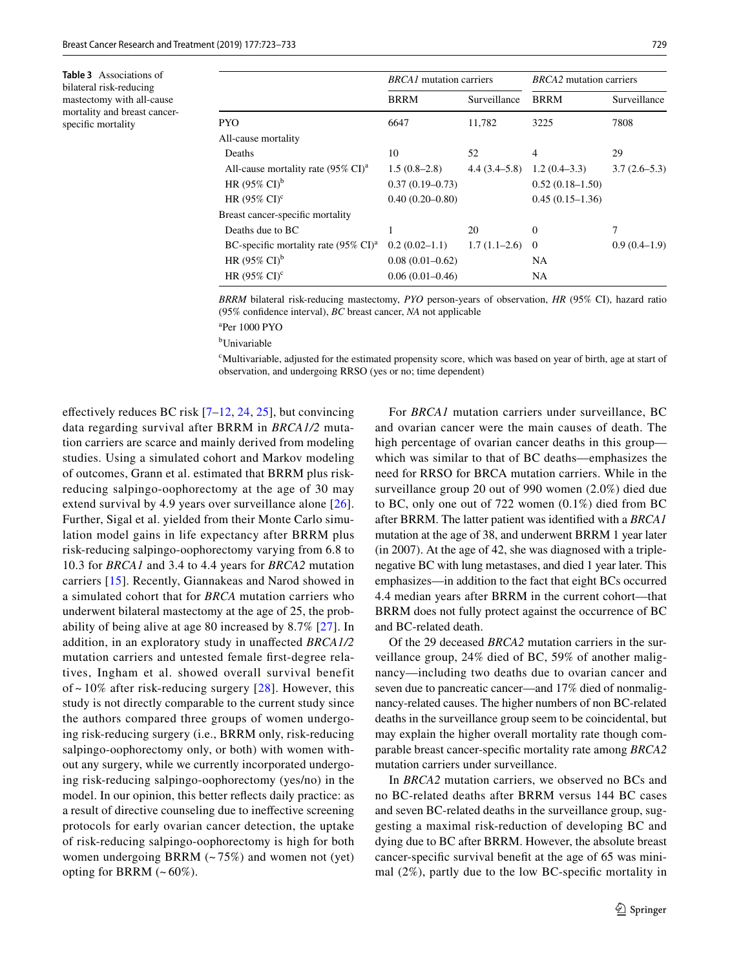<span id="page-6-0"></span>**Table 3** Associations of bilateral risk-reducing mastectomy with all-cause mortality and breast cancerspecific mortality

| PYO                                                       | 6647                | 11,782         | 3225              | 7808           |
|-----------------------------------------------------------|---------------------|----------------|-------------------|----------------|
| All-cause mortality                                       |                     |                |                   |                |
| Deaths                                                    | 10                  | 52             | 4                 | 29             |
| All-cause mortality rate $(95\% \text{ CI})^{\text{a}}$   | $1.5(0.8-2.8)$      | $4.4(3.4-5.8)$ | $1.2(0.4-3.3)$    | $3.7(2.6-5.3)$ |
| HR $(95\% \text{ CI})^b$                                  | $0.37(0.19 - 0.73)$ |                | $0.52(0.18-1.50)$ |                |
| HR $(95\% \text{ CI})^c$                                  | $0.40(0.20 - 0.80)$ |                | $0.45(0.15-1.36)$ |                |
| Breast cancer-specific mortality                          |                     |                |                   |                |
| Deaths due to BC                                          |                     | 20             | $\theta$          | 7              |
| BC-specific mortality rate $(95\% \text{ CI})^{\text{a}}$ | $0.2(0.02-1.1)$     | $1.7(1.1-2.6)$ | $\Omega$          | $0.9(0.4-1.9)$ |
| HR $(95\% \text{ CI})^b$                                  | $0.08(0.01-0.62)$   |                | <b>NA</b>         |                |
| HR $(95\% \text{ CI})^c$                                  | $0.06(0.01-0.46)$   |                | NA                |                |
|                                                           |                     |                |                   |                |

*BRRM* bilateral risk-reducing mastectomy, *PYO* person-years of observation, *HR* (95% CI), hazard ratio (95% confdence interval), *BC* breast cancer, *NA* not applicable

a Per 1000 PYO

b Univariable

c Multivariable, adjusted for the estimated propensity score, which was based on year of birth, age at start of observation, and undergoing RRSO (yes or no; time dependent)

effectively reduces BC risk  $[7–12, 24, 25]$  $[7–12, 24, 25]$  $[7–12, 24, 25]$  $[7–12, 24, 25]$  $[7–12, 24, 25]$  $[7–12, 24, 25]$  $[7–12, 24, 25]$ , but convincing data regarding survival after BRRM in *BRCA1/2* mutation carriers are scarce and mainly derived from modeling studies. Using a simulated cohort and Markov modeling of outcomes, Grann et al. estimated that BRRM plus riskreducing salpingo-oophorectomy at the age of 30 may extend survival by 4.9 years over surveillance alone [[26](#page-10-5)]. Further, Sigal et al. yielded from their Monte Carlo simulation model gains in life expectancy after BRRM plus risk-reducing salpingo-oophorectomy varying from 6.8 to 10.3 for *BRCA1* and 3.4 to 4.4 years for *BRCA2* mutation carriers [[15\]](#page-9-6). Recently, Giannakeas and Narod showed in a simulated cohort that for *BRCA* mutation carriers who underwent bilateral mastectomy at the age of 25, the probability of being alive at age 80 increased by 8.7% [\[27\]](#page-10-6). In addition, in an exploratory study in unafected *BRCA1/2* mutation carriers and untested female frst-degree relatives, Ingham et al. showed overall survival benefit of  $\sim$  10% after risk-reducing surgery [[28](#page-10-7)]. However, this study is not directly comparable to the current study since the authors compared three groups of women undergoing risk-reducing surgery (i.e., BRRM only, risk-reducing salpingo-oophorectomy only, or both) with women without any surgery, while we currently incorporated undergoing risk-reducing salpingo-oophorectomy (yes/no) in the model. In our opinion, this better refects daily practice: as a result of directive counseling due to inefective screening protocols for early ovarian cancer detection, the uptake of risk-reducing salpingo-oophorectomy is high for both women undergoing BRRM  $(-75%)$  and women not (yet) opting for BRRM  $(-60\%).$ 

For *BRCA1* mutation carriers under surveillance, BC and ovarian cancer were the main causes of death. The high percentage of ovarian cancer deaths in this group which was similar to that of BC deaths—emphasizes the need for RRSO for BRCA mutation carriers. While in the surveillance group 20 out of 990 women (2.0%) died due to BC, only one out of 722 women (0.1%) died from BC after BRRM. The latter patient was identifed with a *BRCA1* mutation at the age of 38, and underwent BRRM 1 year later (in 2007). At the age of 42, she was diagnosed with a triplenegative BC with lung metastases, and died 1 year later. This emphasizes—in addition to the fact that eight BCs occurred 4.4 median years after BRRM in the current cohort—that BRRM does not fully protect against the occurrence of BC and BC-related death.

Of the 29 deceased *BRCA2* mutation carriers in the surveillance group, 24% died of BC, 59% of another malignancy—including two deaths due to ovarian cancer and seven due to pancreatic cancer—and 17% died of nonmalignancy-related causes. The higher numbers of non BC-related deaths in the surveillance group seem to be coincidental, but may explain the higher overall mortality rate though comparable breast cancer-specifc mortality rate among *BRCA2* mutation carriers under surveillance.

In *BRCA2* mutation carriers, we observed no BCs and no BC-related deaths after BRRM versus 144 BC cases and seven BC-related deaths in the surveillance group, suggesting a maximal risk-reduction of developing BC and dying due to BC after BRRM. However, the absolute breast cancer-specifc survival beneft at the age of 65 was minimal  $(2\%)$ , partly due to the low BC-specific mortality in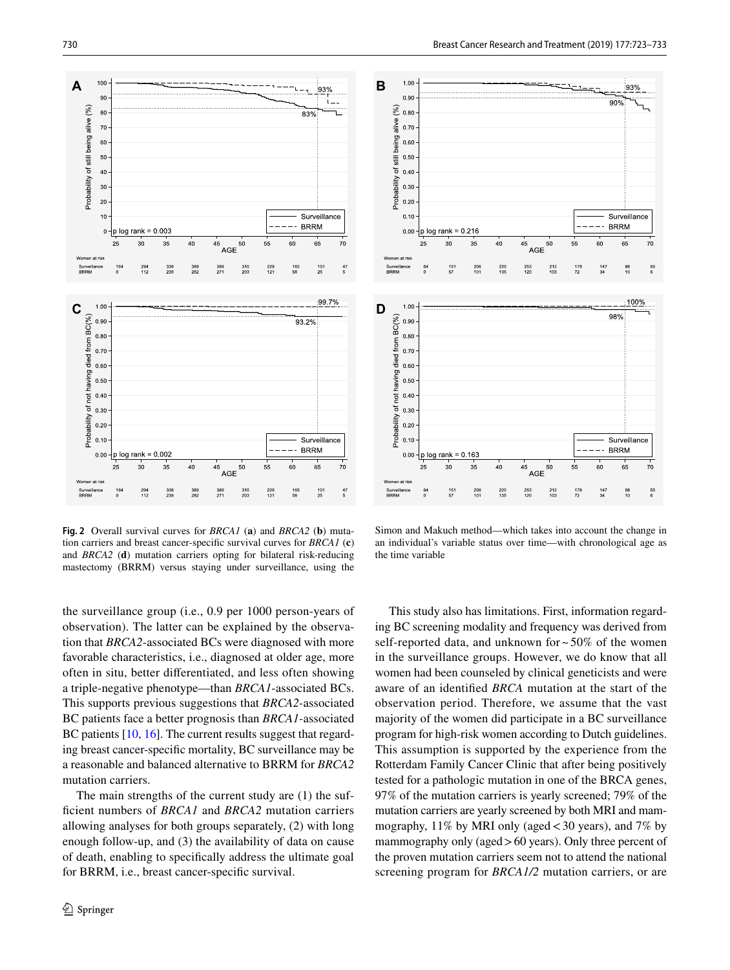

<span id="page-7-0"></span>**Fig. 2** Overall survival curves for *BRCA1* (**a**) and *BRCA2* (**b**) mutation carriers and breast cancer-specifc survival curves for *BRCA1* (**c**) and *BRCA2* (**d**) mutation carriers opting for bilateral risk-reducing mastectomy (BRRM) versus staying under surveillance, using the

the surveillance group (i.e., 0.9 per 1000 person-years of observation). The latter can be explained by the observation that *BRCA2*-associated BCs were diagnosed with more favorable characteristics, i.e., diagnosed at older age, more often in situ, better diferentiated, and less often showing a triple-negative phenotype—than *BRCA1*-associated BCs. This supports previous suggestions that *BRCA2*-associated BC patients face a better prognosis than *BRCA1*-associated BC patients [[10,](#page-9-7) [16](#page-9-8)]. The current results suggest that regarding breast cancer-specifc mortality, BC surveillance may be a reasonable and balanced alternative to BRRM for *BRCA2* mutation carriers.

The main strengths of the current study are (1) the suffcient numbers of *BRCA1* and *BRCA2* mutation carriers allowing analyses for both groups separately, (2) with long enough follow-up, and (3) the availability of data on cause of death, enabling to specifcally address the ultimate goal for BRRM, i.e., breast cancer-specifc survival.



Simon and Makuch method—which takes into account the change in an individual's variable status over time—with chronological age as the time variable

This study also has limitations. First, information regarding BC screening modality and frequency was derived from self-reported data, and unknown for  $\sim$  50% of the women in the surveillance groups. However, we do know that all women had been counseled by clinical geneticists and were aware of an identifed *BRCA* mutation at the start of the observation period. Therefore, we assume that the vast majority of the women did participate in a BC surveillance program for high-risk women according to Dutch guidelines. This assumption is supported by the experience from the Rotterdam Family Cancer Clinic that after being positively tested for a pathologic mutation in one of the BRCA genes, 97% of the mutation carriers is yearly screened; 79% of the mutation carriers are yearly screened by both MRI and mammography,  $11\%$  by MRI only (aged <30 years), and 7% by mammography only (aged > 60 years). Only three percent of the proven mutation carriers seem not to attend the national screening program for *BRCA1/2* mutation carriers, or are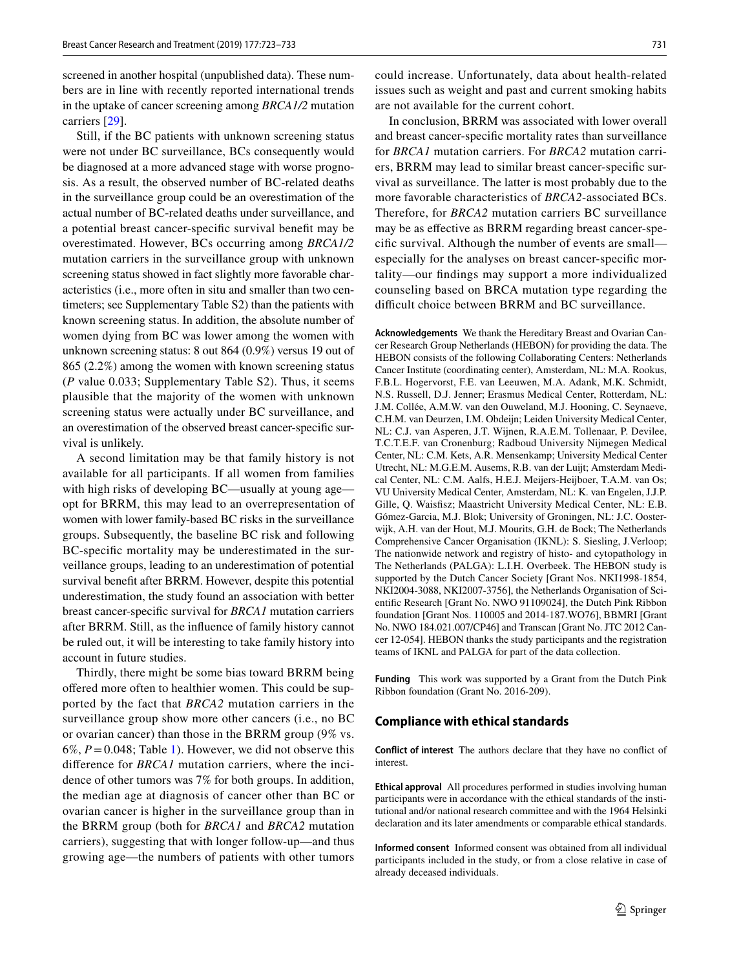screened in another hospital (unpublished data). These numbers are in line with recently reported international trends in the uptake of cancer screening among *BRCA1/2* mutation carriers [[29\]](#page-10-8).

Still, if the BC patients with unknown screening status were not under BC surveillance, BCs consequently would be diagnosed at a more advanced stage with worse prognosis. As a result, the observed number of BC-related deaths in the surveillance group could be an overestimation of the actual number of BC-related deaths under surveillance, and a potential breast cancer-specifc survival beneft may be overestimated. However, BCs occurring among *BRCA1/2* mutation carriers in the surveillance group with unknown screening status showed in fact slightly more favorable characteristics (i.e., more often in situ and smaller than two centimeters; see Supplementary Table S2) than the patients with known screening status. In addition, the absolute number of women dying from BC was lower among the women with unknown screening status: 8 out 864 (0.9%) versus 19 out of 865 (2.2%) among the women with known screening status (*P* value 0.033; Supplementary Table S2). Thus, it seems plausible that the majority of the women with unknown screening status were actually under BC surveillance, and an overestimation of the observed breast cancer-specifc survival is unlikely.

A second limitation may be that family history is not available for all participants. If all women from families with high risks of developing BC—usually at young age opt for BRRM, this may lead to an overrepresentation of women with lower family-based BC risks in the surveillance groups. Subsequently, the baseline BC risk and following BC-specifc mortality may be underestimated in the surveillance groups, leading to an underestimation of potential survival beneft after BRRM. However, despite this potential underestimation, the study found an association with better breast cancer-specifc survival for *BRCA1* mutation carriers after BRRM. Still, as the infuence of family history cannot be ruled out, it will be interesting to take family history into account in future studies.

Thirdly, there might be some bias toward BRRM being offered more often to healthier women. This could be supported by the fact that *BRCA2* mutation carriers in the surveillance group show more other cancers (i.e., no BC or ovarian cancer) than those in the BRRM group (9% vs.  $6\%, P = 0.048$ ; Table [1](#page-3-0)). However, we did not observe this diference for *BRCA1* mutation carriers, where the incidence of other tumors was 7% for both groups. In addition, the median age at diagnosis of cancer other than BC or ovarian cancer is higher in the surveillance group than in the BRRM group (both for *BRCA1* and *BRCA2* mutation carriers), suggesting that with longer follow-up—and thus growing age—the numbers of patients with other tumors could increase. Unfortunately, data about health-related issues such as weight and past and current smoking habits are not available for the current cohort.

In conclusion, BRRM was associated with lower overall and breast cancer-specifc mortality rates than surveillance for *BRCA1* mutation carriers. For *BRCA2* mutation carriers, BRRM may lead to similar breast cancer-specifc survival as surveillance. The latter is most probably due to the more favorable characteristics of *BRCA2*-associated BCs. Therefore, for *BRCA2* mutation carriers BC surveillance may be as efective as BRRM regarding breast cancer-specifc survival. Although the number of events are small especially for the analyses on breast cancer-specifc mortality—our fndings may support a more individualized counseling based on BRCA mutation type regarding the difficult choice between BRRM and BC surveillance.

**Acknowledgements** We thank the Hereditary Breast and Ovarian Cancer Research Group Netherlands (HEBON) for providing the data. The HEBON consists of the following Collaborating Centers: Netherlands Cancer Institute (coordinating center), Amsterdam, NL: M.A. Rookus, F.B.L. Hogervorst, F.E. van Leeuwen, M.A. Adank, M.K. Schmidt, N.S. Russell, D.J. Jenner; Erasmus Medical Center, Rotterdam, NL: J.M. Collée, A.M.W. van den Ouweland, M.J. Hooning, C. Seynaeve, C.H.M. van Deurzen, I.M. Obdeijn; Leiden University Medical Center, NL: C.J. van Asperen, J.T. Wijnen, R.A.E.M. Tollenaar, P. Devilee, T.C.T.E.F. van Cronenburg; Radboud University Nijmegen Medical Center, NL: C.M. Kets, A.R. Mensenkamp; University Medical Center Utrecht, NL: M.G.E.M. Ausems, R.B. van der Luijt; Amsterdam Medical Center, NL: C.M. Aalfs, H.E.J. Meijers-Heijboer, T.A.M. van Os; VU University Medical Center, Amsterdam, NL: K. van Engelen, J.J.P. Gille, Q. Waisfsz; Maastricht University Medical Center, NL: E.B. Gómez-Garcia, M.J. Blok; University of Groningen, NL: J.C. Oosterwijk, A.H. van der Hout, M.J. Mourits, G.H. de Bock; The Netherlands Comprehensive Cancer Organisation (IKNL): S. Siesling, J.Verloop; The nationwide network and registry of histo- and cytopathology in The Netherlands (PALGA): L.I.H. Overbeek. The HEBON study is supported by the Dutch Cancer Society [Grant Nos. NKI1998-1854, NKI2004-3088, NKI2007-3756], the Netherlands Organisation of Scientifc Research [Grant No. NWO 91109024], the Dutch Pink Ribbon foundation [Grant Nos. 110005 and 2014-187.WO76], BBMRI [Grant No. NWO 184.021.007/CP46] and Transcan [Grant No. JTC 2012 Cancer 12-054]. HEBON thanks the study participants and the registration teams of IKNL and PALGA for part of the data collection.

**Funding** This work was supported by a Grant from the Dutch Pink Ribbon foundation (Grant No. 2016-209).

#### **Compliance with ethical standards**

**Conflict of interest** The authors declare that they have no confict of interest.

**Ethical approval** All procedures performed in studies involving human participants were in accordance with the ethical standards of the institutional and/or national research committee and with the 1964 Helsinki declaration and its later amendments or comparable ethical standards.

**Informed consent** Informed consent was obtained from all individual participants included in the study, or from a close relative in case of already deceased individuals.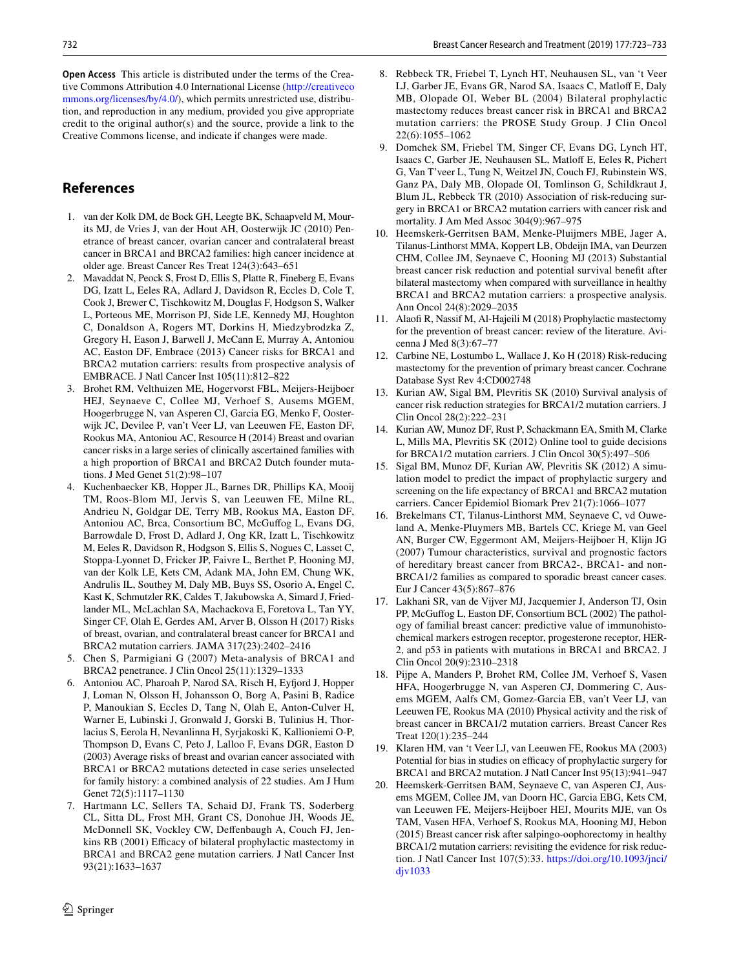**Open Access** This article is distributed under the terms of the Creative Commons Attribution 4.0 International License [\(http://creativeco](http://creativecommons.org/licenses/by/4.0/) [mmons.org/licenses/by/4.0/](http://creativecommons.org/licenses/by/4.0/)), which permits unrestricted use, distribution, and reproduction in any medium, provided you give appropriate credit to the original author(s) and the source, provide a link to the Creative Commons license, and indicate if changes were made.

# **References**

- <span id="page-9-0"></span>1. van der Kolk DM, de Bock GH, Leegte BK, Schaapveld M, Mourits MJ, de Vries J, van der Hout AH, Oosterwijk JC (2010) Penetrance of breast cancer, ovarian cancer and contralateral breast cancer in BRCA1 and BRCA2 families: high cancer incidence at older age. Breast Cancer Res Treat 124(3):643–651
- 2. Mavaddat N, Peock S, Frost D, Ellis S, Platte R, Fineberg E, Evans DG, Izatt L, Eeles RA, Adlard J, Davidson R, Eccles D, Cole T, Cook J, Brewer C, Tischkowitz M, Douglas F, Hodgson S, Walker L, Porteous ME, Morrison PJ, Side LE, Kennedy MJ, Houghton C, Donaldson A, Rogers MT, Dorkins H, Miedzybrodzka Z, Gregory H, Eason J, Barwell J, McCann E, Murray A, Antoniou AC, Easton DF, Embrace (2013) Cancer risks for BRCA1 and BRCA2 mutation carriers: results from prospective analysis of EMBRACE. J Natl Cancer Inst 105(11):812–822
- 3. Brohet RM, Velthuizen ME, Hogervorst FBL, Meijers-Heijboer HEJ, Seynaeve C, Collee MJ, Verhoef S, Ausems MGEM, Hoogerbrugge N, van Asperen CJ, Garcia EG, Menko F, Oosterwijk JC, Devilee P, van't Veer LJ, van Leeuwen FE, Easton DF, Rookus MA, Antoniou AC, Resource H (2014) Breast and ovarian cancer risks in a large series of clinically ascertained families with a high proportion of BRCA1 and BRCA2 Dutch founder mutations. J Med Genet 51(2):98–107
- <span id="page-9-1"></span>4. Kuchenbaecker KB, Hopper JL, Barnes DR, Phillips KA, Mooij TM, Roos-Blom MJ, Jervis S, van Leeuwen FE, Milne RL, Andrieu N, Goldgar DE, Terry MB, Rookus MA, Easton DF, Antoniou AC, Brca, Consortium BC, McGufog L, Evans DG, Barrowdale D, Frost D, Adlard J, Ong KR, Izatt L, Tischkowitz M, Eeles R, Davidson R, Hodgson S, Ellis S, Nogues C, Lasset C, Stoppa-Lyonnet D, Fricker JP, Faivre L, Berthet P, Hooning MJ, van der Kolk LE, Kets CM, Adank MA, John EM, Chung WK, Andrulis IL, Southey M, Daly MB, Buys SS, Osorio A, Engel C, Kast K, Schmutzler RK, Caldes T, Jakubowska A, Simard J, Friedlander ML, McLachlan SA, Machackova E, Foretova L, Tan YY, Singer CF, Olah E, Gerdes AM, Arver B, Olsson H (2017) Risks of breast, ovarian, and contralateral breast cancer for BRCA1 and BRCA2 mutation carriers. JAMA 317(23):2402–2416
- 5. Chen S, Parmigiani G (2007) Meta-analysis of BRCA1 and BRCA2 penetrance. J Clin Oncol 25(11):1329–1333
- <span id="page-9-2"></span>6. Antoniou AC, Pharoah P, Narod SA, Risch H, Eyford J, Hopper J, Loman N, Olsson H, Johansson O, Borg A, Pasini B, Radice P, Manoukian S, Eccles D, Tang N, Olah E, Anton-Culver H, Warner E, Lubinski J, Gronwald J, Gorski B, Tulinius H, Thorlacius S, Eerola H, Nevanlinna H, Syrjakoski K, Kallioniemi O-P, Thompson D, Evans C, Peto J, Lalloo F, Evans DGR, Easton D (2003) Average risks of breast and ovarian cancer associated with BRCA1 or BRCA2 mutations detected in case series unselected for family history: a combined analysis of 22 studies. Am J Hum Genet 72(5):1117–1130
- <span id="page-9-3"></span>7. Hartmann LC, Sellers TA, Schaid DJ, Frank TS, Soderberg CL, Sitta DL, Frost MH, Grant CS, Donohue JH, Woods JE, McDonnell SK, Vockley CW, Defenbaugh A, Couch FJ, Jenkins RB (2001) Efficacy of bilateral prophylactic mastectomy in BRCA1 and BRCA2 gene mutation carriers. J Natl Cancer Inst 93(21):1633–1637
- 8. Rebbeck TR, Friebel T, Lynch HT, Neuhausen SL, van 't Veer LJ, Garber JE, Evans GR, Narod SA, Isaacs C, Matlof E, Daly MB, Olopade OI, Weber BL (2004) Bilateral prophylactic mastectomy reduces breast cancer risk in BRCA1 and BRCA2 mutation carriers: the PROSE Study Group. J Clin Oncol 22(6):1055–1062
- 9. Domchek SM, Friebel TM, Singer CF, Evans DG, Lynch HT, Isaacs C, Garber JE, Neuhausen SL, Matlof E, Eeles R, Pichert G, Van T'veer L, Tung N, Weitzel JN, Couch FJ, Rubinstein WS, Ganz PA, Daly MB, Olopade OI, Tomlinson G, Schildkraut J, Blum JL, Rebbeck TR (2010) Association of risk-reducing surgery in BRCA1 or BRCA2 mutation carriers with cancer risk and mortality. J Am Med Assoc 304(9):967–975
- <span id="page-9-7"></span>10. Heemskerk-Gerritsen BAM, Menke-Pluijmers MBE, Jager A, Tilanus-Linthorst MMA, Koppert LB, Obdeijn IMA, van Deurzen CHM, Collee JM, Seynaeve C, Hooning MJ (2013) Substantial breast cancer risk reduction and potential survival beneft after bilateral mastectomy when compared with surveillance in healthy BRCA1 and BRCA2 mutation carriers: a prospective analysis. Ann Oncol 24(8):2029–2035
- 11. Alaof R, Nassif M, Al-Hajeili M (2018) Prophylactic mastectomy for the prevention of breast cancer: review of the literature. Avicenna J Med 8(3):67–77
- <span id="page-9-4"></span>12. Carbine NE, Lostumbo L, Wallace J, Ko H (2018) Risk-reducing mastectomy for the prevention of primary breast cancer. Cochrane Database Syst Rev 4:CD002748
- <span id="page-9-5"></span>13. Kurian AW, Sigal BM, Plevritis SK (2010) Survival analysis of cancer risk reduction strategies for BRCA1/2 mutation carriers. J Clin Oncol 28(2):222–231
- 14. Kurian AW, Munoz DF, Rust P, Schackmann EA, Smith M, Clarke L, Mills MA, Plevritis SK (2012) Online tool to guide decisions for BRCA1/2 mutation carriers. J Clin Oncol 30(5):497–506
- <span id="page-9-6"></span>15. Sigal BM, Munoz DF, Kurian AW, Plevritis SK (2012) A simulation model to predict the impact of prophylactic surgery and screening on the life expectancy of BRCA1 and BRCA2 mutation carriers. Cancer Epidemiol Biomark Prev 21(7):1066–1077
- <span id="page-9-8"></span>16. Brekelmans CT, Tilanus-Linthorst MM, Seynaeve C, vd Ouweland A, Menke-Pluymers MB, Bartels CC, Kriege M, van Geel AN, Burger CW, Eggermont AM, Meijers-Heijboer H, Klijn JG (2007) Tumour characteristics, survival and prognostic factors of hereditary breast cancer from BRCA2-, BRCA1- and non-BRCA1/2 families as compared to sporadic breast cancer cases. Eur J Cancer 43(5):867–876
- <span id="page-9-9"></span>17. Lakhani SR, van de Vijver MJ, Jacquemier J, Anderson TJ, Osin PP, McGufog L, Easton DF, Consortium BCL (2002) The pathology of familial breast cancer: predictive value of immunohistochemical markers estrogen receptor, progesterone receptor, HER-2, and p53 in patients with mutations in BRCA1 and BRCA2. J Clin Oncol 20(9):2310–2318
- <span id="page-9-10"></span>18. Pijpe A, Manders P, Brohet RM, Collee JM, Verhoef S, Vasen HFA, Hoogerbrugge N, van Asperen CJ, Dommering C, Ausems MGEM, Aalfs CM, Gomez-Garcia EB, van't Veer LJ, van Leeuwen FE, Rookus MA (2010) Physical activity and the risk of breast cancer in BRCA1/2 mutation carriers. Breast Cancer Res Treat 120(1):235–244
- <span id="page-9-11"></span>19. Klaren HM, van 't Veer LJ, van Leeuwen FE, Rookus MA (2003) Potential for bias in studies on efficacy of prophylactic surgery for BRCA1 and BRCA2 mutation. J Natl Cancer Inst 95(13):941–947
- <span id="page-9-12"></span>20. Heemskerk-Gerritsen BAM, Seynaeve C, van Asperen CJ, Ausems MGEM, Collee JM, van Doorn HC, Garcia EBG, Kets CM, van Leeuwen FE, Meijers-Heijboer HEJ, Mourits MJE, van Os TAM, Vasen HFA, Verhoef S, Rookus MA, Hooning MJ, Hebon (2015) Breast cancer risk after salpingo-oophorectomy in healthy BRCA1/2 mutation carriers: revisiting the evidence for risk reduction. J Natl Cancer Inst 107(5):33. [https://doi.org/10.1093/jnci/](https://doi.org/10.1093/jnci/djv1033) [djv1033](https://doi.org/10.1093/jnci/djv1033)